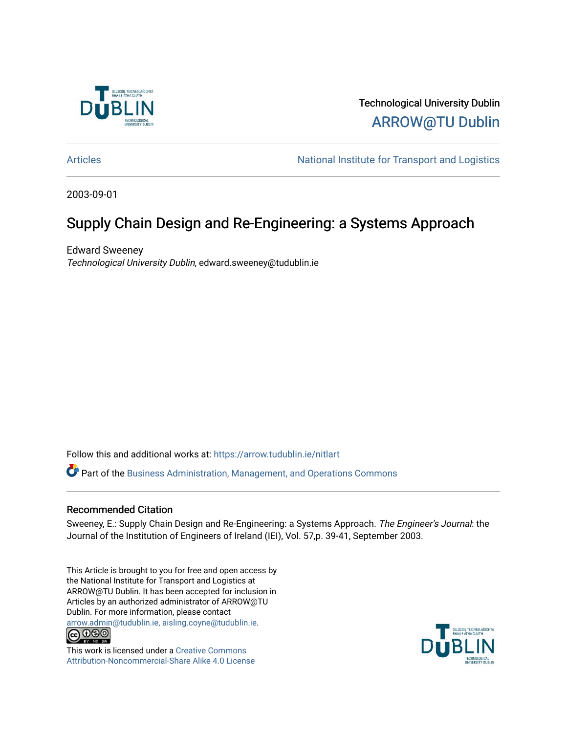

Technological University Dublin [ARROW@TU Dublin](https://arrow.tudublin.ie/) 

[Articles](https://arrow.tudublin.ie/nitlart) **Articles** Articles Articles Articles Articles Articles Articles Articles Articles Articles Articles Articles Articles Articles Articles Articles Articles Articles Articles Articles Articles Articles Articles Arti

2003-09-01

# Supply Chain Design and Re-Engineering: a Systems Approach

Edward Sweeney Technological University Dublin, edward.sweeney@tudublin.ie

Follow this and additional works at: [https://arrow.tudublin.ie/nitlart](https://arrow.tudublin.ie/nitlart?utm_source=arrow.tudublin.ie%2Fnitlart%2F20&utm_medium=PDF&utm_campaign=PDFCoverPages) 

Part of the [Business Administration, Management, and Operations Commons](http://network.bepress.com/hgg/discipline/623?utm_source=arrow.tudublin.ie%2Fnitlart%2F20&utm_medium=PDF&utm_campaign=PDFCoverPages)

### Recommended Citation

Sweeney, E.: Supply Chain Design and Re-Engineering: a Systems Approach. The Engineer's Journal: the Journal of the Institution of Engineers of Ireland (IEI), Vol. 57,p. 39-41, September 2003.

This Article is brought to you for free and open access by the National Institute for Transport and Logistics at ARROW@TU Dublin. It has been accepted for inclusion in Articles by an authorized administrator of ARROW@TU Dublin. For more information, please contact [arrow.admin@tudublin.ie, aisling.coyne@tudublin.ie](mailto:arrow.admin@tudublin.ie,%20aisling.coyne@tudublin.ie).<br>
co 000



This work is licensed under a [Creative Commons](http://creativecommons.org/licenses/by-nc-sa/4.0/) [Attribution-Noncommercial-Share Alike 4.0 License](http://creativecommons.org/licenses/by-nc-sa/4.0/)

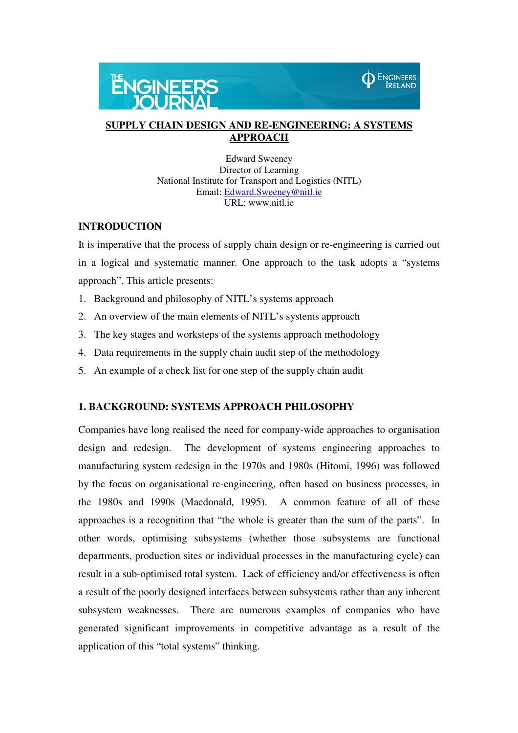



### **SUPPLY CHAIN DESIGN AND RE-ENGINEERING: A SYSTEMS APPROACH**

Edward Sweeney Director of Learning National Institute for Transport and Logistics (NITL) Email: Edward.Sweeney@nitl.ie URL: www.nitl.ie

### **INTRODUCTION**

It is imperative that the process of supply chain design or re-engineering is carried out in a logical and systematic manner. One approach to the task adopts a "systems approach". This article presents:

- 1. Background and philosophy of NITL's systems approach
- 2. An overview of the main elements of NITL's systems approach
- 3. The key stages and worksteps of the systems approach methodology
- 4. Data requirements in the supply chain audit step of the methodology
- 5. An example of a check list for one step of the supply chain audit

### **1. BACKGROUND: SYSTEMS APPROACH PHILOSOPHY**

Companies have long realised the need for company-wide approaches to organisation design and redesign. The development of systems engineering approaches to manufacturing system redesign in the 1970s and 1980s (Hitomi, 1996) was followed by the focus on organisational re-engineering, often based on business processes, in the 1980s and 1990s (Macdonald, 1995). A common feature of all of these approaches is a recognition that "the whole is greater than the sum of the parts". In other words, optimising subsystems (whether those subsystems are functional departments, production sites or individual processes in the manufacturing cycle) can result in a sub-optimised total system. Lack of efficiency and/or effectiveness is often a result of the poorly designed interfaces between subsystems rather than any inherent subsystem weaknesses. There are numerous examples of companies who have generated significant improvements in competitive advantage as a result of the application of this "total systems" thinking.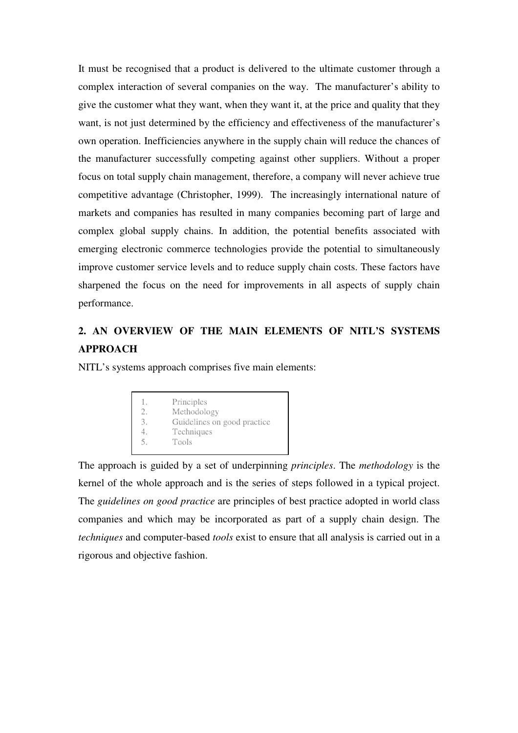It must be recognised that a product is delivered to the ultimate customer through a complex interaction of several companies on the way. The manufacturer's ability to give the customer what they want, when they want it, at the price and quality that they want, is not just determined by the efficiency and effectiveness of the manufacturer's own operation. Inefficiencies anywhere in the supply chain will reduce the chances of the manufacturer successfully competing against other suppliers. Without a proper focus on total supply chain management, therefore, a company will never achieve true competitive advantage (Christopher, 1999). The increasingly international nature of markets and companies has resulted in many companies becoming part of large and complex global supply chains. In addition, the potential benefits associated with emerging electronic commerce technologies provide the potential to simultaneously improve customer service levels and to reduce supply chain costs. These factors have sharpened the focus on the need for improvements in all aspects of supply chain performance.

### **2. AN OVERVIEW OF THE MAIN ELEMENTS OF NITL'S SYSTEMS APPROACH**

NITL's systems approach comprises five main elements:

|        | Principles                                 |  |
|--------|--------------------------------------------|--|
| 3.     | Methodology<br>Guidelines on good practice |  |
| $\sim$ | Techniques<br>Tools                        |  |

The approach is guided by a set of underpinning *principles*. The *methodology* is the kernel of the whole approach and is the series of steps followed in a typical project. The *guidelines on good practice* are principles of best practice adopted in world class companies and which may be incorporated as part of a supply chain design. The *techniques* and computer-based *tools* exist to ensure that all analysis is carried out in a rigorous and objective fashion.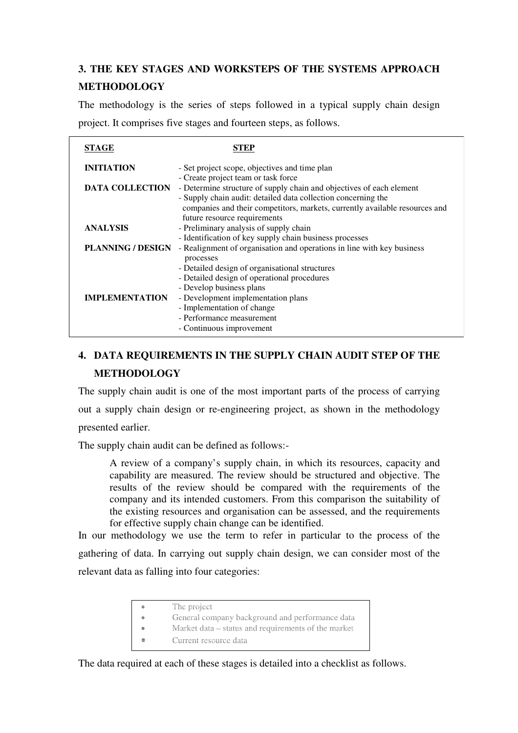## **3. THE KEY STAGES AND WORKSTEPS OF THE SYSTEMS APPROACH METHODOLOGY**

The methodology is the series of steps followed in a typical supply chain design project. It comprises five stages and fourteen steps, as follows.

| STAGE                    | STEP                                                                                                                                                                                                                                                   |
|--------------------------|--------------------------------------------------------------------------------------------------------------------------------------------------------------------------------------------------------------------------------------------------------|
| <b>INITIATION</b>        | - Set project scope, objectives and time plan                                                                                                                                                                                                          |
| <b>DATA COLLECTION</b>   | - Create project team or task force<br>- Determine structure of supply chain and objectives of each element<br>- Supply chain audit: detailed data collection concerning the                                                                           |
|                          | companies and their competitors, markets, currently available resources and<br>future resource requirements                                                                                                                                            |
| <b>ANALYSIS</b>          | - Preliminary analysis of supply chain<br>- Identification of key supply chain business processes                                                                                                                                                      |
| <b>PLANNING / DESIGN</b> | - Realignment of organisation and operations in line with key business<br>processes                                                                                                                                                                    |
| <b>IMPLEMENTATION</b>    | - Detailed design of organisational structures<br>- Detailed design of operational procedures<br>- Develop business plans<br>- Development implementation plans<br>- Implementation of change<br>- Performance measurement<br>- Continuous improvement |

### **4. DATA REQUIREMENTS IN THE SUPPLY CHAIN AUDIT STEP OF THE METHODOLOGY**

The supply chain audit is one of the most important parts of the process of carrying out a supply chain design or re-engineering project, as shown in the methodology presented earlier.

The supply chain audit can be defined as follows:-

A review of a company's supply chain, in which its resources, capacity and capability are measured. The review should be structured and objective. The results of the review should be compared with the requirements of the company and its intended customers. From this comparison the suitability of the existing resources and organisation can be assessed, and the requirements for effective supply chain change can be identified.

In our methodology we use the term to refer in particular to the process of the gathering of data. In carrying out supply chain design, we can consider most of the relevant data as falling into four categories:

- The project
- General company background and performance data
	- Market data status and requirements of the market
- Current resource data

The data required at each of these stages is detailed into a checklist as follows.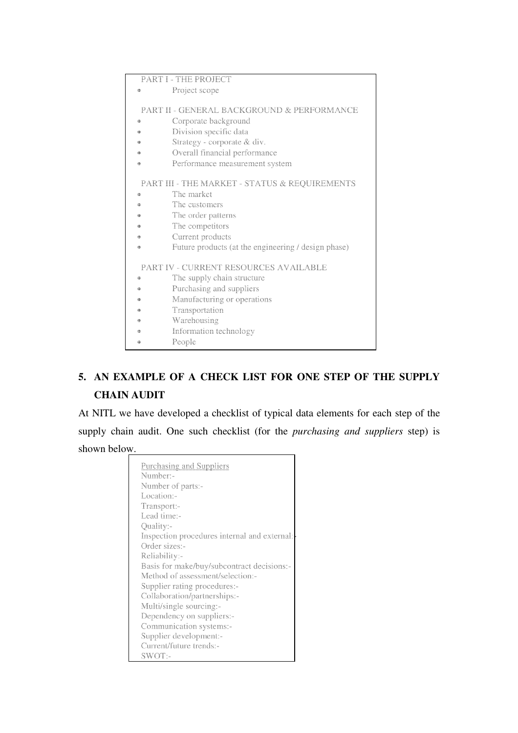|                                       | <b>PART I - THE PROJECT</b>                   |                                                       |  |  |
|---------------------------------------|-----------------------------------------------|-------------------------------------------------------|--|--|
|                                       | 49                                            | Project scope                                         |  |  |
|                                       |                                               |                                                       |  |  |
|                                       |                                               | <b>PART II - GENERAL BACKGROUND &amp; PERFORMANCE</b> |  |  |
|                                       | 曲                                             | Corporate background                                  |  |  |
|                                       | 债                                             | Division specific data                                |  |  |
|                                       |                                               | Strategy - corporate & div.                           |  |  |
|                                       |                                               | Overall financial performance                         |  |  |
|                                       | 楹                                             | Performance measurement system                        |  |  |
|                                       | PART III - THE MARKET - STATUS & REQUIREMENTS |                                                       |  |  |
|                                       | 曲                                             | The market                                            |  |  |
|                                       | 命                                             | The customers                                         |  |  |
|                                       |                                               | The order patterns                                    |  |  |
|                                       |                                               | The competitors                                       |  |  |
|                                       |                                               | Current products                                      |  |  |
|                                       | 49                                            | Future products (at the engineering / design phase)   |  |  |
| PART IV - CURRENT RESOURCES AVAILABLE |                                               |                                                       |  |  |
|                                       | 命                                             | The supply chain structure                            |  |  |
|                                       | ŵ                                             | Purchasing and suppliers                              |  |  |
|                                       |                                               | Manufacturing or operations                           |  |  |
|                                       |                                               | Transportation                                        |  |  |
|                                       |                                               | Warehousing                                           |  |  |
|                                       |                                               | Information technology                                |  |  |
|                                       |                                               | People                                                |  |  |
|                                       |                                               |                                                       |  |  |

# **5. AN EXAMPLE OF A CHECK LIST FOR ONE STEP OF THE SUPPLY CHAIN AUDIT**

At NITL we have developed a checklist of typical data elements for each step of the supply chain audit. One such checklist (for the *purchasing and suppliers* step) is shown below. ٦

| <b>Purchasing and Suppliers</b>              |
|----------------------------------------------|
| Number-                                      |
| Number of parts:-                            |
| Location:-                                   |
| Transport:-                                  |
| Lead time:-                                  |
| Quality:-                                    |
| Inspection procedures internal and external: |
| Order sizes:-                                |
| Reliability:-                                |
| Basis for make/buy/subcontract decisions:-   |
| Method of assessment/selection:-             |
| Supplier rating procedures:-                 |
|                                              |
| Collaboration/partnerships:-                 |
| Multi/single sourcing:-                      |
| Dependency on suppliers:-                    |
| Communication systems:-                      |
| Supplier development:-                       |
| Current/future trends:-                      |
| $SWOT$ :-                                    |